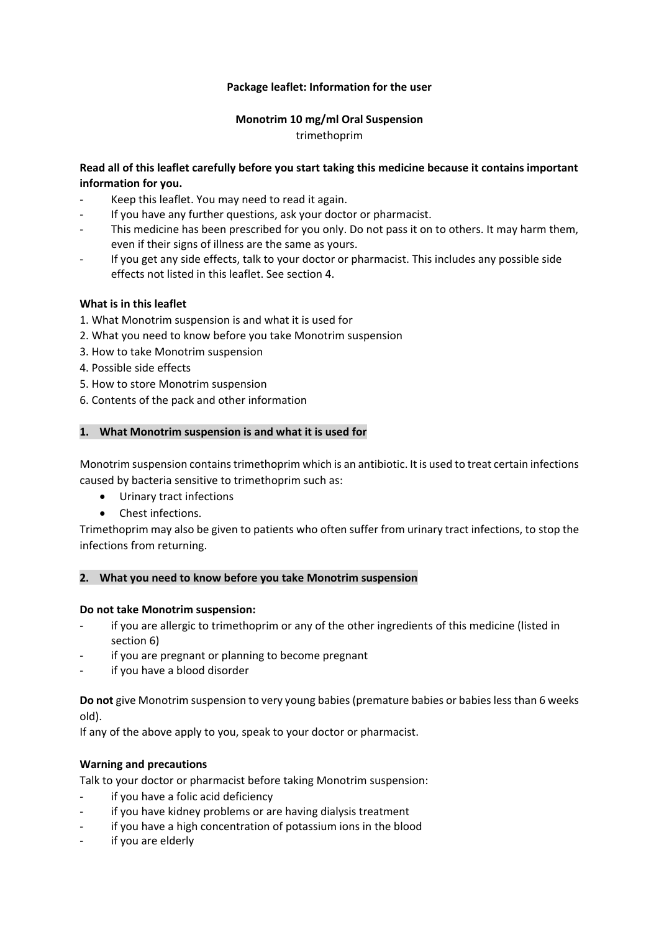## **Package leaflet: Information for the user**

### **Monotrim 10 mg/ml Oral Suspension** trimethoprim

## **Read all of this leaflet carefully before you start taking this medicine because it contains important information for you.**

- Keep this leaflet. You may need to read it again.
- If you have any further questions, ask your doctor or pharmacist.
- This medicine has been prescribed for you only. Do not pass it on to others. It may harm them, even if their signs of illness are the same as yours.
- If you get any side effects, talk to your doctor or pharmacist. This includes any possible side effects not listed in this leaflet. See section 4.

### **What is in this leaflet**

- 1. What Monotrim suspension is and what it is used for
- 2. What you need to know before you take Monotrim suspension
- 3. How to take Monotrim suspension
- 4. Possible side effects
- 5. How to store Monotrim suspension
- 6. Contents of the pack and other information

### **1. What Monotrim suspension is and what it is used for**

Monotrim suspension contains trimethoprim which is an antibiotic. It is used to treat certain infections caused by bacteria sensitive to trimethoprim such as:

- Urinary tract infections
- Chest infections.

Trimethoprim may also be given to patients who often suffer from urinary tract infections, to stop the infections from returning.

### **2. What you need to know before you take Monotrim suspension**

### **Do not take Monotrim suspension:**

- if you are allergic to trimethoprim or any of the other ingredients of this medicine (listed in section 6)
- if you are pregnant or planning to become pregnant
- if you have a blood disorder

**Do not** give Monotrim suspension to very young babies (premature babies or babies less than 6 weeks old).

If any of the above apply to you, speak to your doctor or pharmacist.

### **Warning and precautions**

Talk to your doctor or pharmacist before taking Monotrim suspension:

- if you have a folic acid deficiency
- if you have kidney problems or are having dialysis treatment
- if you have a high concentration of potassium ions in the blood
- if you are elderly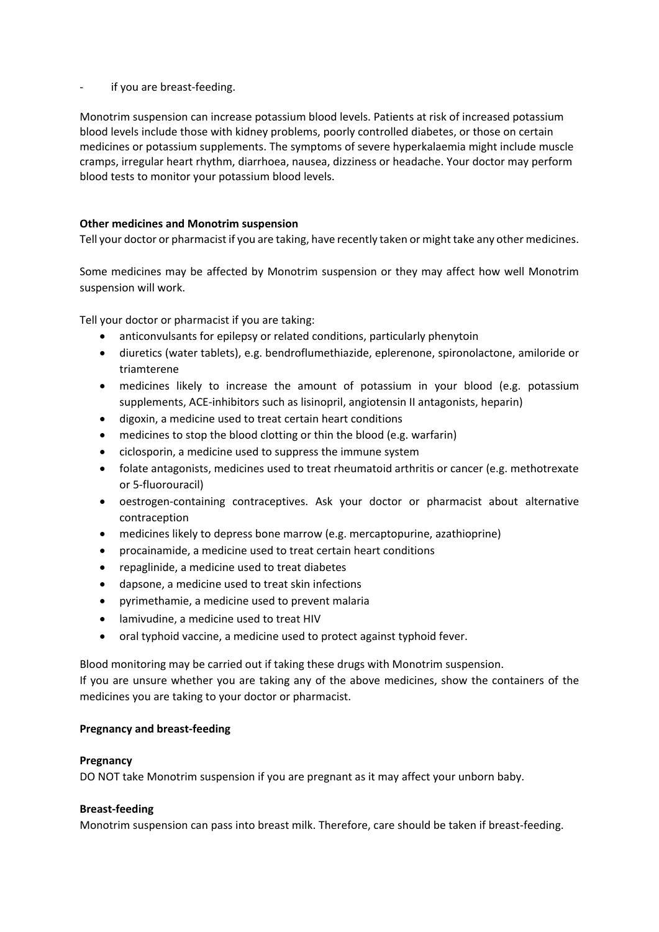if you are breast-feeding.

Monotrim suspension can increase potassium blood levels. Patients at risk of increased potassium blood levels include those with kidney problems, poorly controlled diabetes, or those on certain medicines or potassium supplements. The symptoms of severe hyperkalaemia might include muscle cramps, irregular heart rhythm, diarrhoea, nausea, dizziness or headache. Your doctor may perform blood tests to monitor your potassium blood levels.

## **Other medicines and Monotrim suspension**

Tell your doctor or pharmacist if you are taking, have recently taken or might take any other medicines.

Some medicines may be affected by Monotrim suspension or they may affect how well Monotrim suspension will work.

Tell your doctor or pharmacist if you are taking:

- anticonvulsants for epilepsy or related conditions, particularly phenytoin
- diuretics (water tablets), e.g. bendroflumethiazide, eplerenone, spironolactone, amiloride or triamterene
- medicines likely to increase the amount of potassium in your blood (e.g. potassium supplements, ACE-inhibitors such as lisinopril, angiotensin II antagonists, heparin)
- digoxin, a medicine used to treat certain heart conditions
- medicines to stop the blood clotting or thin the blood (e.g. warfarin)
- ciclosporin, a medicine used to suppress the immune system
- folate antagonists, medicines used to treat rheumatoid arthritis or cancer (e.g. methotrexate or 5-fluorouracil)
- oestrogen-containing contraceptives. Ask your doctor or pharmacist about alternative contraception
- medicines likely to depress bone marrow (e.g. mercaptopurine, azathioprine)
- procainamide, a medicine used to treat certain heart conditions
- repaglinide, a medicine used to treat diabetes
- dapsone, a medicine used to treat skin infections
- pyrimethamie, a medicine used to prevent malaria
- lamivudine, a medicine used to treat HIV
- oral typhoid vaccine, a medicine used to protect against typhoid fever.

Blood monitoring may be carried out if taking these drugs with Monotrim suspension.

If you are unsure whether you are taking any of the above medicines, show the containers of the medicines you are taking to your doctor or pharmacist.

### **Pregnancy and breast-feeding**

### **Pregnancy**

DO NOT take Monotrim suspension if you are pregnant as it may affect your unborn baby.

### **Breast-feeding**

Monotrim suspension can pass into breast milk. Therefore, care should be taken if breast-feeding.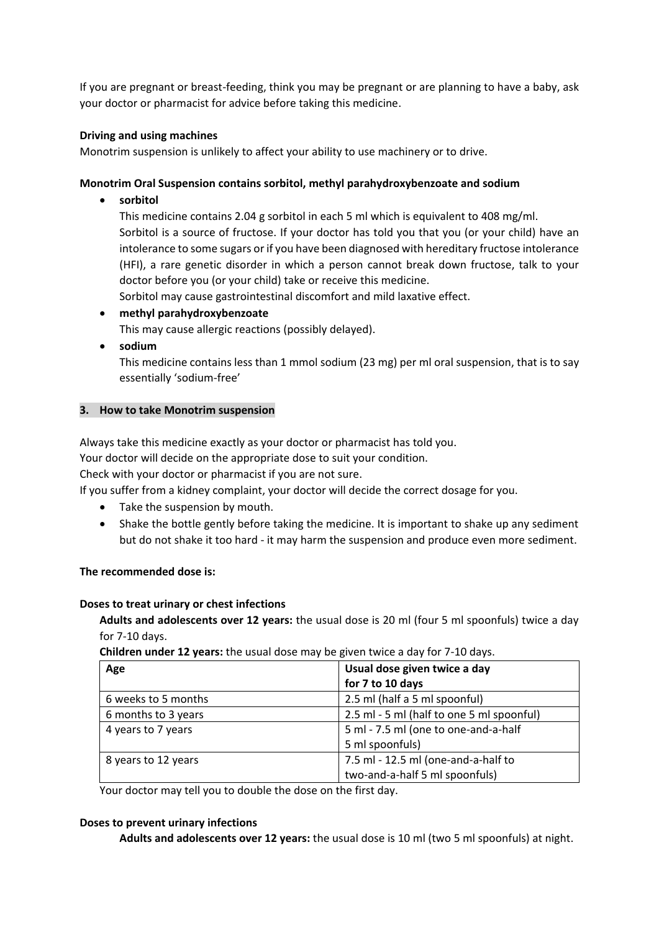If you are pregnant or breast-feeding, think you may be pregnant or are planning to have a baby, ask your doctor or pharmacist for advice before taking this medicine.

## **Driving and using machines**

Monotrim suspension is unlikely to affect your ability to use machinery or to drive.

## **Monotrim Oral Suspension contains sorbitol, methyl parahydroxybenzoate and sodium**

**sorbitol**

This medicine contains 2.04 g sorbitol in each 5 ml which is equivalent to 408 mg/ml. Sorbitol is a source of fructose. If your doctor has told you that you (or your child) have an intolerance to some sugars or if you have been diagnosed with hereditary fructose intolerance (HFI), a rare genetic disorder in which a person cannot break down fructose, talk to your doctor before you (or your child) take or receive this medicine.

Sorbitol may cause gastrointestinal discomfort and mild laxative effect.

**methyl parahydroxybenzoate**

This may cause allergic reactions (possibly delayed).

**sodium**

This medicine contains less than 1 mmol sodium (23 mg) per ml oral suspension, that is to say essentially 'sodium-free'

## **3. How to take Monotrim suspension**

Always take this medicine exactly as your doctor or pharmacist has told you.

Your doctor will decide on the appropriate dose to suit your condition.

Check with your doctor or pharmacist if you are not sure.

If you suffer from a kidney complaint, your doctor will decide the correct dosage for you.

- Take the suspension by mouth.
- Shake the bottle gently before taking the medicine. It is important to shake up any sediment but do not shake it too hard - it may harm the suspension and produce even more sediment.

## **The recommended dose is:**

### **Doses to treat urinary or chest infections**

**Adults and adolescents over 12 years:** the usual dose is 20 ml (four 5 ml spoonfuls) twice a day for 7-10 days.

**Children under 12 years:** the usual dose may be given twice a day for 7-10 days.

| Age                 | Usual dose given twice a day              |
|---------------------|-------------------------------------------|
|                     | for 7 to 10 days                          |
| 6 weeks to 5 months | 2.5 ml (half a 5 ml spoonful)             |
| 6 months to 3 years | 2.5 ml - 5 ml (half to one 5 ml spoonful) |
| 4 years to 7 years  | 5 ml - 7.5 ml (one to one-and-a-half      |
|                     | 5 ml spoonfuls)                           |
| 8 years to 12 years | 7.5 ml - 12.5 ml (one-and-a-half to       |
|                     | two-and-a-half 5 ml spoonfuls)            |

Your doctor may tell you to double the dose on the first day.

### **Doses to prevent urinary infections**

**Adults and adolescents over 12 years:** the usual dose is 10 ml (two 5 ml spoonfuls) at night.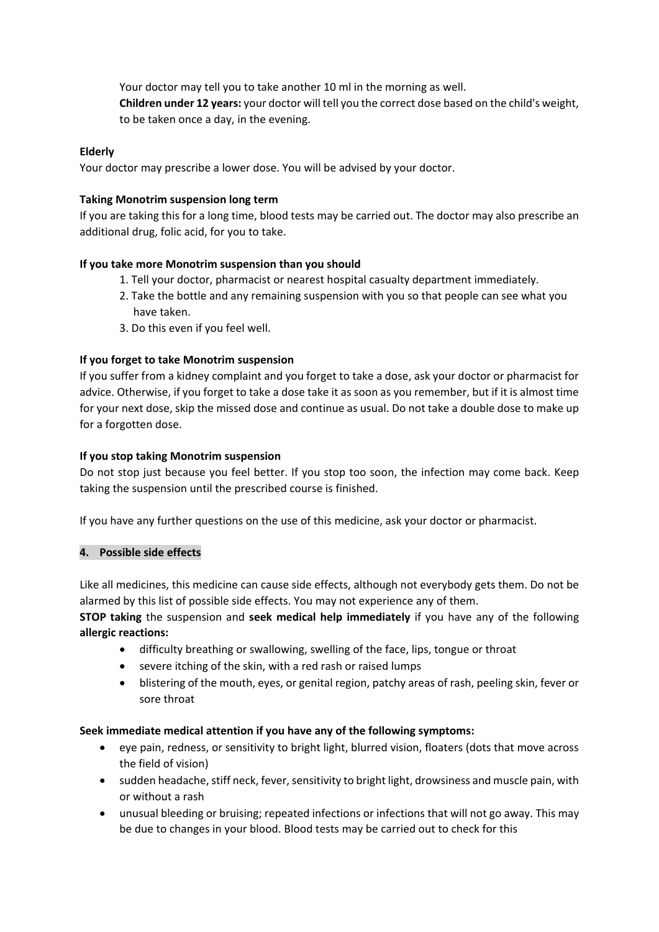Your doctor may tell you to take another 10 ml in the morning as well. **Children under 12 years:** your doctor will tell you the correct dose based on the child's weight, to be taken once a day, in the evening.

## **Elderly**

Your doctor may prescribe a lower dose. You will be advised by your doctor.

## **Taking Monotrim suspension long term**

If you are taking this for a long time, blood tests may be carried out. The doctor may also prescribe an additional drug, folic acid, for you to take.

## **If you take more Monotrim suspension than you should**

- 1. Tell your doctor, pharmacist or nearest hospital casualty department immediately.
- 2. Take the bottle and any remaining suspension with you so that people can see what you have taken.
- 3. Do this even if you feel well.

## **If you forget to take Monotrim suspension**

If you suffer from a kidney complaint and you forget to take a dose, ask your doctor or pharmacist for advice. Otherwise, if you forget to take a dose take it as soon as you remember, but if it is almost time for your next dose, skip the missed dose and continue as usual. Do not take a double dose to make up for a forgotten dose.

## **If you stop taking Monotrim suspension**

Do not stop just because you feel better. If you stop too soon, the infection may come back. Keep taking the suspension until the prescribed course is finished.

If you have any further questions on the use of this medicine, ask your doctor or pharmacist.

### **4. Possible side effects**

Like all medicines, this medicine can cause side effects, although not everybody gets them. Do not be alarmed by this list of possible side effects. You may not experience any of them.

**STOP taking** the suspension and **seek medical help immediately** if you have any of the following **allergic reactions:**

- difficulty breathing or swallowing, swelling of the face, lips, tongue or throat
- severe itching of the skin, with a red rash or raised lumps
- blistering of the mouth, eyes, or genital region, patchy areas of rash, peeling skin, fever or sore throat

## **Seek immediate medical attention if you have any of the following symptoms:**

- eye pain, redness, or sensitivity to bright light, blurred vision, floaters (dots that move across the field of vision)
- sudden headache, stiff neck, fever, sensitivity to bright light, drowsiness and muscle pain, with or without a rash
- unusual bleeding or bruising; repeated infections or infections that will not go away. This may be due to changes in your blood. Blood tests may be carried out to check for this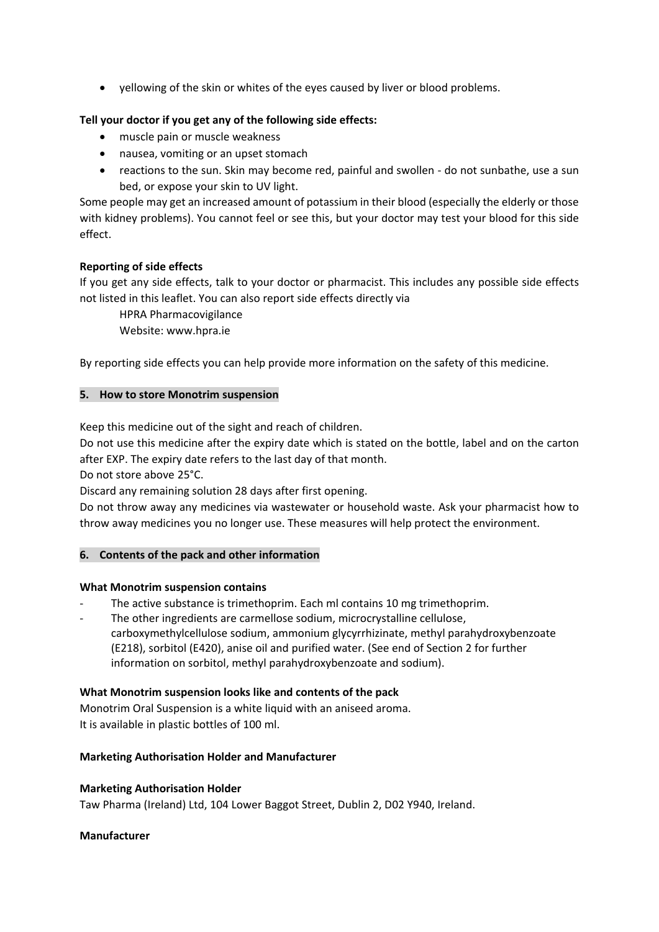yellowing of the skin or whites of the eyes caused by liver or blood problems.

# **Tell your doctor if you get any of the following side effects:**

- muscle pain or muscle weakness
- nausea, vomiting or an upset stomach
- reactions to the sun. Skin may become red, painful and swollen do not sunbathe, use a sun bed, or expose your skin to UV light.

Some people may get an increased amount of potassium in their blood (especially the elderly or those with kidney problems). You cannot feel or see this, but your doctor may test your blood for this side effect.

## **Reporting of side effects**

If you get any side effects, talk to your doctor or pharmacist. This includes any possible side effects not listed in this leaflet. You can also report side effects directly via

HPRA Pharmacovigilance Website: www.hpra.ie

By reporting side effects you can help provide more information on the safety of this medicine.

## **5. How to store Monotrim suspension**

Keep this medicine out of the sight and reach of children.

Do not use this medicine after the expiry date which is stated on the bottle, label and on the carton after EXP. The expiry date refers to the last day of that month.

Do not store above 25°C.

Discard any remaining solution 28 days after first opening.

Do not throw away any medicines via wastewater or household waste. Ask your pharmacist how to throw away medicines you no longer use. These measures will help protect the environment.

## **6. Contents of the pack and other information**

### **What Monotrim suspension contains**

- The active substance is trimethoprim. Each ml contains 10 mg trimethoprim.
- The other ingredients are carmellose sodium, microcrystalline cellulose, carboxymethylcellulose sodium, ammonium glycyrrhizinate, methyl parahydroxybenzoate (E218), sorbitol (E420), anise oil and purified water. (See end of Section 2 for further information on sorbitol, methyl parahydroxybenzoate and sodium).

## **What Monotrim suspension looks like and contents of the pack**

Monotrim Oral Suspension is a white liquid with an aniseed aroma. It is available in plastic bottles of 100 ml.

### **Marketing Authorisation Holder and Manufacturer**

### **Marketing Authorisation Holder**

Taw Pharma (Ireland) Ltd, 104 Lower Baggot Street, Dublin 2, D02 Y940, Ireland.

### **Manufacturer**